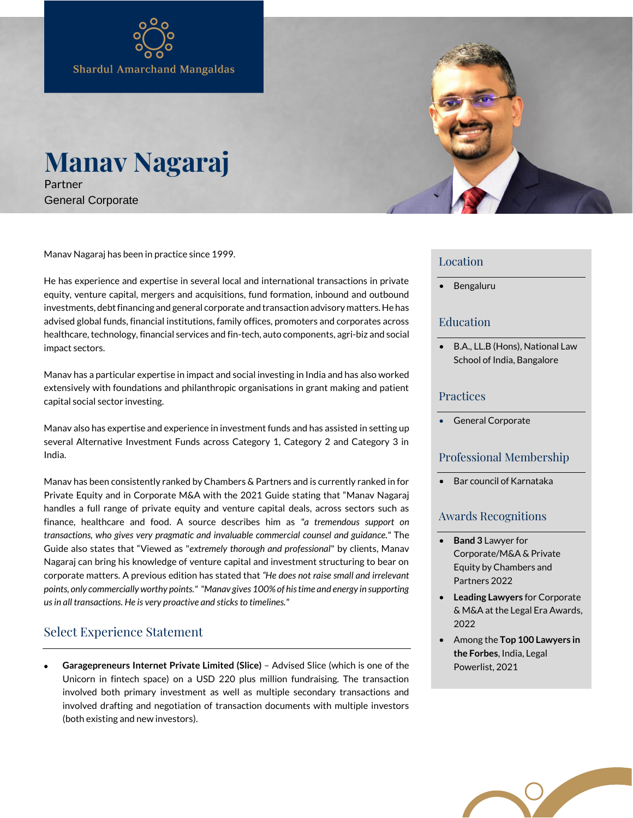# **Manav Nagaraj** Partner

General Corporate

Manav Nagaraj has been in practice since 1999.

He has experience and expertise in several local and international transactions in private equity, venture capital, mergers and acquisitions, fund formation, inbound and outbound investments, debt financing and general corporate and transaction advisory matters. He has advised global funds, financial institutions, family offices, promoters and corporates across healthcare, technology, financial services and fin-tech, auto components, agri-biz and social impact sectors.

Manav has a particular expertise in impact and social investing in India and has also worked extensively with foundations and philanthropic organisations in grant making and patient capital social sector investing.

Manav also has expertise and experience in investment funds and has assisted in setting up several Alternative Investment Funds across Category 1, Category 2 and Category 3 in India.

Manav has been consistently ranked by Chambers & Partners and is currently ranked in for Private Equity and in Corporate M&A with the 2021 Guide stating that "Manav Nagaraj handles a full range of private equity and venture capital deals, across sectors such as finance, healthcare and food. A source describes him as *"a tremendous support on transactions, who gives very pragmatic and invaluable commercial counsel and guidance."* The Guide also states that "Viewed as "*extremely thorough and professional*" by clients, Manav Nagaraj can bring his knowledge of venture capital and investment structuring to bear on corporate matters. A previous edition has stated that *"He does not raise small and irrelevant points, only commercially worthy points." "Manav gives 100% of his time and energy in supporting us in all transactions. He is very proactive and sticks to timelines."*

# Select Experience Statement

 **Garagepreneurs Internet Private Limited (Slice)** – Advised Slice (which is one of the Unicorn in fintech space) on a USD 220 plus million fundraising. The transaction involved both primary investment as well as multiple secondary transactions and involved drafting and negotiation of transaction documents with multiple investors (both existing and new investors).



### Location

• Bengaluru

## Education

• B.A., LL.B (Hons), National Law School of India, Bangalore

### Practices

General Corporate

### Professional Membership

• Bar council of Karnataka

# Awards Recognitions

- **Band 3** Lawyer for Corporate/M&A & Private Equity by Chambers and Partners 2022
- **Leading Lawyers** for Corporate & M&A at the Legal Era Awards, 2022
- Among the **Top 100 Lawyers in the Forbes**, India, Legal Powerlist, 2021